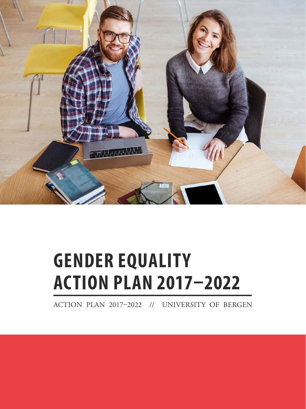

# **GENDER EQUALITY ACTION PLAN 2017–2022**

ACTION PLAN 2017–2022 // UNIVERSITY OF BERGEN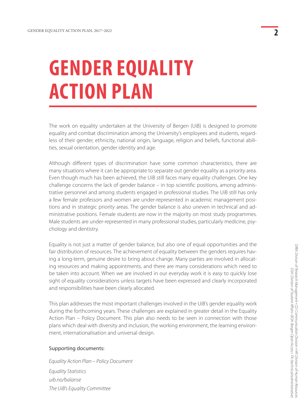# **GENDER EQUALITY ACTION PLAN**

The work on equality undertaken at the University of Bergen (UiB) is designed to promote equality and combat discrimination among the University's employees and students, regardless of their gender, ethnicity, national origin, language, religion and beliefs, functional abilities, sexual orientation, gender identity and age.

Although different types of discrimination have some common characteristics, there are many situations where it can be appropriate to separate out gender equality as a priority area. Even though much has been achieved, the UiB still faces many equality challenges. One key challenge concerns the lack of gender balance – in top scientific positions, among administrative personnel and among students engaged in professional studies. The UiB still has only a few female professors and women are under-represented in academic management positions and in strategic priority areas. The gender balance is also uneven in technical and administrative positions. Female students are now in the majority on most study programmes. Male students are under-represented in many professional studies, particularly medicine, psychology and dentistry.

Equality is not just a matter of gender balance, but also one of equal opportunities and the fair distribution of resources. The achievement of equality between the genders requires having a long-term, genuine desire to bring about change. Many parties are involved in allocating resources and making appointments, and there are many considerations which need to be taken into account. When we are involved in our everyday work it is easy to quickly lose sight of equality considerations unless targets have been expressed and clearly incorporated and responsibilities have been clearly allocated.

This plan addresses the most important challenges involved in the UiB's gender equality work during the forthcoming years. These challenges are explained in greater detail in the Equality Action Plan – Policy Document. This plan also needs to be seen in connection with those plans which deal with diversity and inclusion, the working environment, the learning environment, internationalisation and universal design.

#### Supporting documents:

*Equality Action Plan – Policy Document [Equality Statistics](http://www.uib.no/hr/75383/likestillingsstatistikk-uib) [uib.no/balanse](http://www.uib.no/balanse) [The UiB's Equality Committee](http://www.uib.no/hr/74979/likestillingskomiteen-ved-uib)*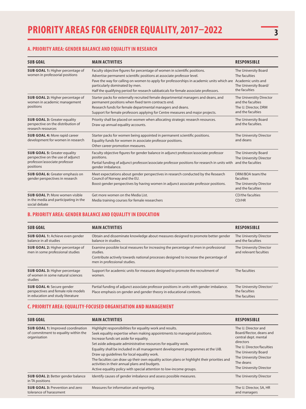## **A. PRIORITY AREA: GENDER BALANCE AND EQUALITY IN RESEARCH**

| <b>SUB GOAL</b>                                                                                                        | <b>MAIN ACTIVITIES</b>                                                                                                                                                                                                                                                                                                                                                                         | <b>RESPONSIBLE</b>                                                                         |
|------------------------------------------------------------------------------------------------------------------------|------------------------------------------------------------------------------------------------------------------------------------------------------------------------------------------------------------------------------------------------------------------------------------------------------------------------------------------------------------------------------------------------|--------------------------------------------------------------------------------------------|
| <b>SUB GOAL 1: Higher percentage of</b><br>women in professorial positions                                             | Faculty objective figures for percentage of women in scientific positions.<br>Advertise permanent scientific positions at associate professor level.<br>Pave the way for calling on women to apply for professorships in academic units which are Academic units and<br>particularly dominated by men.<br>Half the qualifying period for research sabbaticals for female associate professors. | The University Board<br>The faculties<br>The University Board/<br>the faculties            |
| <b>SUB GOAL 2: Higher percentage of</b><br>women in academic management<br>positions                                   | Starter packs for externally recruited female departmental managers and deans, and<br>permanent positions when fixed term contracts end.<br>Research funds for female departmental managers and deans.<br>Support for female professors applying for Centre measures and major projects.                                                                                                       | The Universtity Director<br>and the faculties<br>The U. Director, DRM<br>and the faculties |
| <b>SUB GOAL 3: Greater equality</b><br>perspective on the distribution of<br>research resources                        | Priority shall be placed on women when allocating strategic research resources.<br>Draw up annual equality accounts.                                                                                                                                                                                                                                                                           | The University Board<br>and the faculties.                                                 |
| <b>SUB GOAL 4: More rapid career</b><br>development for women in research                                              | Starter packs for women being appointed in permanent scientific positions.<br>Equality funds for women in associate professor positions.<br>Other career promotion measures.                                                                                                                                                                                                                   | The University Director<br>and deans                                                       |
| <b>SUB GOAL 5: Greater equality</b><br>perspective on the use of adjunct<br>professor/associate professor<br>positions | Faculty objective figures for gender balance in adjunct professor/associate professor<br>positions.<br>Partial funding of adjunct professor/associate professor positions for research in units with<br>gender imbalance.                                                                                                                                                                      | The University Board<br>The University Director<br>and the faculties                       |
| <b>SUB GOAL 6:</b> Greater emphasis on<br>gender perspectives in research                                              | Meet expectations about gender perspectives in research conducted by the Research<br>Council of Norway and the EU.<br>Boost gender perspectives by having women in adjunct associate professor positions.                                                                                                                                                                                      | DRM/BOA team/the<br>faculties<br>The University Director<br>and the faculties              |
| <b>SUB GOAL 7: More women visible</b><br>in the media and participating in the<br>social debate                        | Get more women on the Media List.<br>Media training courses for female researchers                                                                                                                                                                                                                                                                                                             | CD/the faculties<br>CD/HR                                                                  |

#### **B. PRIORITY AREA: GENDER BALANCE AND EQUALITY IN EDUCATION**

| <b>SUB GOAL</b>                                                                                              | <b>MAIN ACTIVITIES</b>                                                                                                                                                                                                    | <b>RESPONSIBLE</b>                                         |
|--------------------------------------------------------------------------------------------------------------|---------------------------------------------------------------------------------------------------------------------------------------------------------------------------------------------------------------------------|------------------------------------------------------------|
| <b>SUB GOAL 1: Achieve even gender</b><br>balance in all studies                                             | Obtain and disseminate knowledge about measures designed to promote better gender<br>balance in studies.                                                                                                                  | The University Director<br>and the faculties               |
| <b>SUB GOAL 2: Higher percentage of</b><br>men in some professional studies                                  | Examine possible local measures for increasing the percentage of men in professional<br>studies.<br>Contribute actively towards national processes designed to increase the percentage of<br>men in professional studies. | The University Director<br>and relevant faculties          |
| <b>SUB GOAL 3: Higher percentage</b><br>of women in some natural sciences<br>studies                         | Support for academic units for measures designed to promote the recruitment of<br>women.                                                                                                                                  | The faculties                                              |
| <b>SUB GOAL 4: Secure gender</b><br>perspectives and female role models<br>in education and study literature | Partial funding of adjunct associate professor positions in units with gender imbalance.<br>Place emphasis on gender and gender theory in educational contexts.                                                           | The University Director/<br>the faculties<br>The faculties |

## **C. PRIORITY AREA: EQUALITY-FOCUSED ORGANISATION AND MANAGEMENT**

| <b>SUB GOAL</b>                                                                                  | <b>MAIN ACTIVITIES</b>                                                                                                                                                                                                                                                                                                                                                                                                                                                                                                                                                                                      | <b>RESPONSIBLE</b>                                                                                                                                                                                          |
|--------------------------------------------------------------------------------------------------|-------------------------------------------------------------------------------------------------------------------------------------------------------------------------------------------------------------------------------------------------------------------------------------------------------------------------------------------------------------------------------------------------------------------------------------------------------------------------------------------------------------------------------------------------------------------------------------------------------------|-------------------------------------------------------------------------------------------------------------------------------------------------------------------------------------------------------------|
| <b>SUB GOAL 1: Improved coordination</b><br>of commitment to equality within the<br>organisation | Highlight responsibilities for equality work and results.<br>Seek equality expertise when making appointments to managerial positions.<br>Increase funds set aside for equality.<br>Set aside adequate administrative resources for equality work.<br>Equality shall be included in all management development programmes at the UiB.<br>Draw up quidelines for local equality work.<br>The faculties can draw up their own equality action plans or highlight their priorities and<br>activities in their annual plans and budgets.<br>Active equality policy with special attention to low-income groups. | The U. Director and<br>Board/Rector, deans and<br>central dept. mental<br>directors<br>The U. Director/faculties<br>The University Board<br>The University Director<br>The deans<br>The University Director |
| <b>SUB GOAL 2: Better gender balance</b><br>in TA positions                                      | Identify causes of gender imbalance and assess possible measures.                                                                                                                                                                                                                                                                                                                                                                                                                                                                                                                                           | The University Director                                                                                                                                                                                     |
| <b>SUB GOAL 3: Prevention and zero</b><br>tolerance of harassment                                | Measures for information and reporting.                                                                                                                                                                                                                                                                                                                                                                                                                                                                                                                                                                     | The U. Director, SA, HR<br>and managers                                                                                                                                                                     |